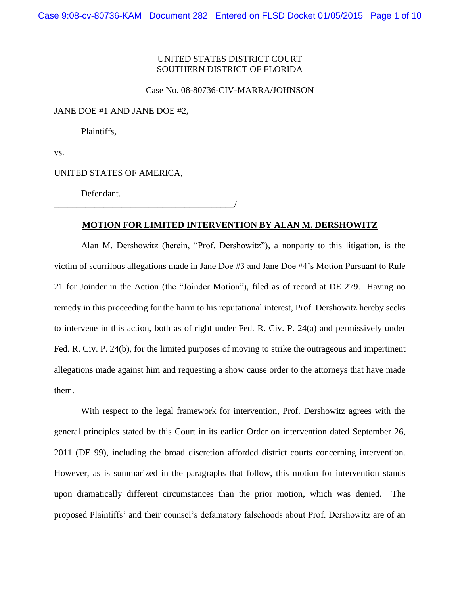# UNITED STATES DISTRICT COURT SOUTHERN DISTRICT OF FLORIDA

### Case No. 08-80736-CIV-MARRA/JOHNSON

JANE DOE #1 AND JANE DOE #2,

Plaintiffs,

vs.

UNITED STATES OF AMERICA,

Defendant.

### \_\_\_\_\_\_\_\_\_\_\_\_\_\_\_\_\_\_\_\_\_\_\_\_\_\_\_\_\_\_\_\_\_\_\_\_\_\_\_\_/

### **MOTION FOR LIMITED INTERVENTION BY ALAN M. DERSHOWITZ**

Alan M. Dershowitz (herein, "Prof. Dershowitz"), a nonparty to this litigation, is the victim of scurrilous allegations made in Jane Doe #3 and Jane Doe #4's Motion Pursuant to Rule 21 for Joinder in the Action (the "Joinder Motion"), filed as of record at DE 279. Having no remedy in this proceeding for the harm to his reputational interest, Prof. Dershowitz hereby seeks to intervene in this action, both as of right under Fed. R. Civ. P. 24(a) and permissively under Fed. R. Civ. P. 24(b), for the limited purposes of moving to strike the outrageous and impertinent allegations made against him and requesting a show cause order to the attorneys that have made them.

With respect to the legal framework for intervention, Prof. Dershowitz agrees with the general principles stated by this Court in its earlier Order on intervention dated September 26, 2011 (DE 99), including the broad discretion afforded district courts concerning intervention. However, as is summarized in the paragraphs that follow, this motion for intervention stands upon dramatically different circumstances than the prior motion, which was denied. The proposed Plaintiffs' and their counsel's defamatory falsehoods about Prof. Dershowitz are of an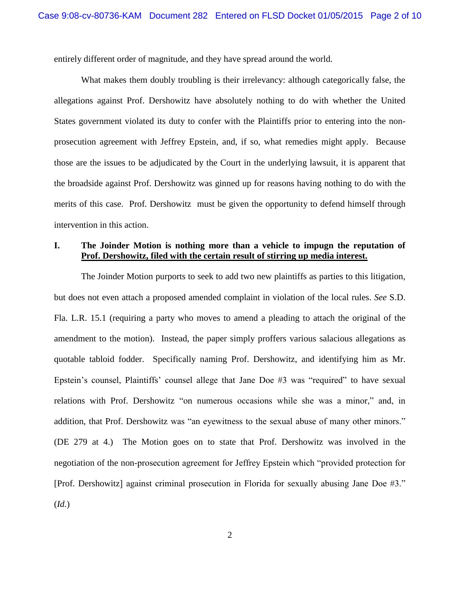entirely different order of magnitude, and they have spread around the world.

What makes them doubly troubling is their irrelevancy: although categorically false, the allegations against Prof. Dershowitz have absolutely nothing to do with whether the United States government violated its duty to confer with the Plaintiffs prior to entering into the nonprosecution agreement with Jeffrey Epstein, and, if so, what remedies might apply. Because those are the issues to be adjudicated by the Court in the underlying lawsuit, it is apparent that the broadside against Prof. Dershowitz was ginned up for reasons having nothing to do with the merits of this case. Prof. Dershowitz must be given the opportunity to defend himself through intervention in this action.

# **I. The Joinder Motion is nothing more than a vehicle to impugn the reputation of Prof. Dershowitz, filed with the certain result of stirring up media interest.**

The Joinder Motion purports to seek to add two new plaintiffs as parties to this litigation, but does not even attach a proposed amended complaint in violation of the local rules. *See* S.D. Fla. L.R. 15.1 (requiring a party who moves to amend a pleading to attach the original of the amendment to the motion). Instead, the paper simply proffers various salacious allegations as quotable tabloid fodder. Specifically naming Prof. Dershowitz, and identifying him as Mr. Epstein's counsel, Plaintiffs' counsel allege that Jane Doe #3 was "required" to have sexual relations with Prof. Dershowitz "on numerous occasions while she was a minor," and, in addition, that Prof. Dershowitz was "an eyewitness to the sexual abuse of many other minors." (DE 279 at 4.) The Motion goes on to state that Prof. Dershowitz was involved in the negotiation of the non-prosecution agreement for Jeffrey Epstein which "provided protection for [Prof. Dershowitz] against criminal prosecution in Florida for sexually abusing Jane Doe #3." (*Id.*)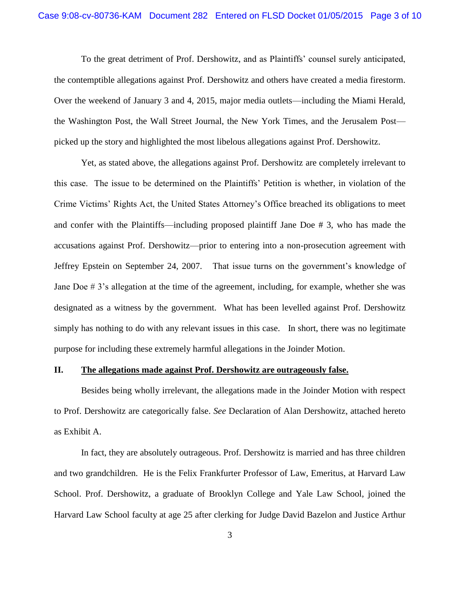To the great detriment of Prof. Dershowitz, and as Plaintiffs' counsel surely anticipated, the contemptible allegations against Prof. Dershowitz and others have created a media firestorm. Over the weekend of January 3 and 4, 2015, major media outlets—including the Miami Herald, the Washington Post, the Wall Street Journal, the New York Times, and the Jerusalem Post picked up the story and highlighted the most libelous allegations against Prof. Dershowitz.

Yet, as stated above, the allegations against Prof. Dershowitz are completely irrelevant to this case. The issue to be determined on the Plaintiffs' Petition is whether, in violation of the Crime Victims' Rights Act, the United States Attorney's Office breached its obligations to meet and confer with the Plaintiffs—including proposed plaintiff Jane Doe # 3, who has made the accusations against Prof. Dershowitz—prior to entering into a non-prosecution agreement with Jeffrey Epstein on September 24, 2007. That issue turns on the government's knowledge of Jane Doe  $\# 3$ 's allegation at the time of the agreement, including, for example, whether she was designated as a witness by the government. What has been levelled against Prof. Dershowitz simply has nothing to do with any relevant issues in this case. In short, there was no legitimate purpose for including these extremely harmful allegations in the Joinder Motion.

### **II. The allegations made against Prof. Dershowitz are outrageously false.**

Besides being wholly irrelevant, the allegations made in the Joinder Motion with respect to Prof. Dershowitz are categorically false. *See* Declaration of Alan Dershowitz, attached hereto as Exhibit A.

In fact, they are absolutely outrageous. Prof. Dershowitz is married and has three children and two grandchildren. He is the Felix Frankfurter Professor of Law, Emeritus, at Harvard Law School. Prof. Dershowitz, a graduate of Brooklyn College and Yale Law School, joined the Harvard Law School faculty at age 25 after clerking for Judge David Bazelon and Justice Arthur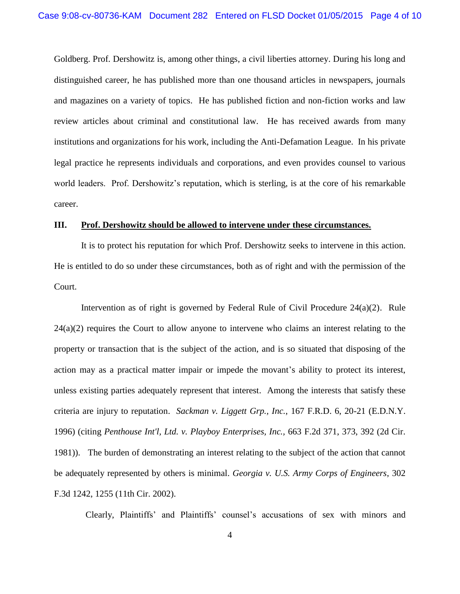Goldberg. Prof. Dershowitz is, among other things, a civil liberties attorney. During his long and distinguished career, he has published more than one thousand articles in newspapers, journals and magazines on a variety of topics. He has published fiction and non-fiction works and law review articles about criminal and constitutional law. He has received awards from many institutions and organizations for his work, including the Anti-Defamation League. In his private legal practice he represents individuals and corporations, and even provides counsel to various world leaders. Prof. Dershowitz's reputation, which is sterling, is at the core of his remarkable career.

### **III. Prof. Dershowitz should be allowed to intervene under these circumstances.**

It is to protect his reputation for which Prof. Dershowitz seeks to intervene in this action. He is entitled to do so under these circumstances, both as of right and with the permission of the Court.

Intervention as of right is governed by Federal Rule of Civil Procedure 24(a)(2). Rule  $24(a)(2)$  requires the Court to allow anyone to intervene who claims an interest relating to the property or transaction that is the subject of the action, and is so situated that disposing of the action may as a practical matter impair or impede the movant's ability to protect its interest, unless existing parties adequately represent that interest. Among the interests that satisfy these criteria are injury to reputation. *Sackman v. Liggett Grp., Inc.*, 167 F.R.D. 6, 20-21 (E.D.N.Y. 1996) (citing *Penthouse Int'l, Ltd. v. Playboy Enterprises, Inc.,* 663 F.2d 371, 373, 392 (2d Cir. 1981)). The burden of demonstrating an interest relating to the subject of the action that cannot be adequately represented by others is minimal. *Georgia v. U.S. Army Corps of Engineers*, 302 F.3d 1242, 1255 (11th Cir. 2002).

Clearly, Plaintiffs' and Plaintiffs' counsel's accusations of sex with minors and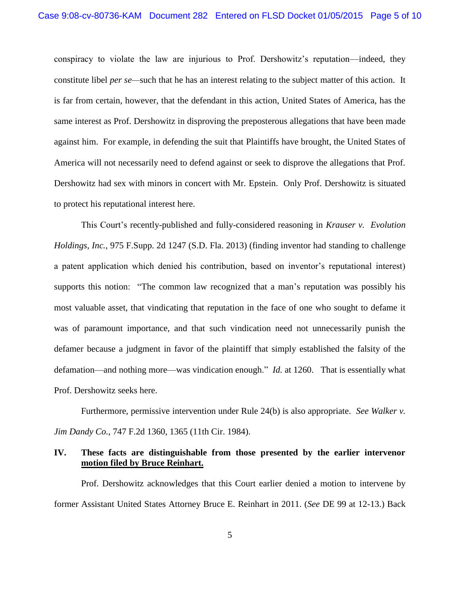conspiracy to violate the law are injurious to Prof. Dershowitz's reputation—indeed, they constitute libel *per se—*such that he has an interest relating to the subject matter of this action. It is far from certain, however, that the defendant in this action, United States of America, has the same interest as Prof. Dershowitz in disproving the preposterous allegations that have been made against him. For example, in defending the suit that Plaintiffs have brought, the United States of America will not necessarily need to defend against or seek to disprove the allegations that Prof. Dershowitz had sex with minors in concert with Mr. Epstein. Only Prof. Dershowitz is situated to protect his reputational interest here.

This Court's recently-published and fully-considered reasoning in *Krauser v. Evolution Holdings, Inc.*, 975 F.Supp. 2d 1247 (S.D. Fla. 2013) (finding inventor had standing to challenge a patent application which denied his contribution, based on inventor's reputational interest) supports this notion: "The common law recognized that a man's reputation was possibly his most valuable asset, that vindicating that reputation in the face of one who sought to defame it was of paramount importance, and that such vindication need not unnecessarily punish the defamer because a judgment in favor of the plaintiff that simply established the falsity of the defamation—and nothing more—was vindication enough." *Id.* at 1260. That is essentially what Prof. Dershowitz seeks here.

Furthermore, permissive intervention under Rule 24(b) is also appropriate. *See Walker v. Jim Dandy Co.*, 747 F.2d 1360, 1365 (11th Cir. 1984).

## **IV. These facts are distinguishable from those presented by the earlier intervenor motion filed by Bruce Reinhart.**

Prof. Dershowitz acknowledges that this Court earlier denied a motion to intervene by former Assistant United States Attorney Bruce E. Reinhart in 2011. (*See* DE 99 at 12-13.) Back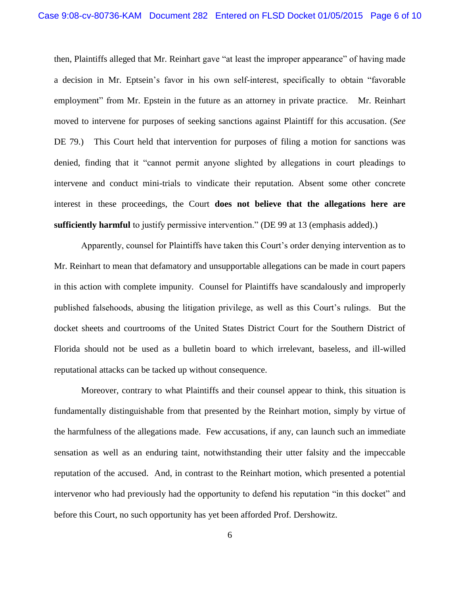then, Plaintiffs alleged that Mr. Reinhart gave "at least the improper appearance" of having made a decision in Mr. Eptsein's favor in his own self-interest, specifically to obtain "favorable employment" from Mr. Epstein in the future as an attorney in private practice. Mr. Reinhart moved to intervene for purposes of seeking sanctions against Plaintiff for this accusation. (*See*  DE 79.) This Court held that intervention for purposes of filing a motion for sanctions was denied, finding that it "cannot permit anyone slighted by allegations in court pleadings to intervene and conduct mini-trials to vindicate their reputation. Absent some other concrete interest in these proceedings, the Court **does not believe that the allegations here are sufficiently harmful** to justify permissive intervention." (DE 99 at 13 (emphasis added).)

Apparently, counsel for Plaintiffs have taken this Court's order denying intervention as to Mr. Reinhart to mean that defamatory and unsupportable allegations can be made in court papers in this action with complete impunity. Counsel for Plaintiffs have scandalously and improperly published falsehoods, abusing the litigation privilege, as well as this Court's rulings. But the docket sheets and courtrooms of the United States District Court for the Southern District of Florida should not be used as a bulletin board to which irrelevant, baseless, and ill-willed reputational attacks can be tacked up without consequence.

Moreover, contrary to what Plaintiffs and their counsel appear to think, this situation is fundamentally distinguishable from that presented by the Reinhart motion, simply by virtue of the harmfulness of the allegations made. Few accusations, if any, can launch such an immediate sensation as well as an enduring taint, notwithstanding their utter falsity and the impeccable reputation of the accused. And, in contrast to the Reinhart motion, which presented a potential intervenor who had previously had the opportunity to defend his reputation "in this docket" and before this Court, no such opportunity has yet been afforded Prof. Dershowitz.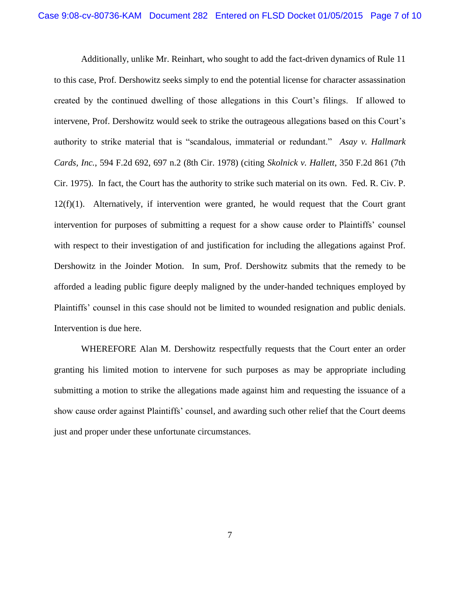Additionally, unlike Mr. Reinhart, who sought to add the fact-driven dynamics of Rule 11 to this case, Prof. Dershowitz seeks simply to end the potential license for character assassination created by the continued dwelling of those allegations in this Court's filings. If allowed to intervene, Prof. Dershowitz would seek to strike the outrageous allegations based on this Court's authority to strike material that is "scandalous, immaterial or redundant." *Asay v. Hallmark Cards, Inc.*, 594 F.2d 692, 697 n.2 (8th Cir. 1978) (citing *Skolnick v. Hallett*, 350 F.2d 861 (7th Cir. 1975). In fact, the Court has the authority to strike such material on its own. Fed. R. Civ. P.  $12(f)(1)$ . Alternatively, if intervention were granted, he would request that the Court grant intervention for purposes of submitting a request for a show cause order to Plaintiffs' counsel with respect to their investigation of and justification for including the allegations against Prof. Dershowitz in the Joinder Motion. In sum, Prof. Dershowitz submits that the remedy to be afforded a leading public figure deeply maligned by the under-handed techniques employed by Plaintiffs' counsel in this case should not be limited to wounded resignation and public denials. Intervention is due here.

WHEREFORE Alan M. Dershowitz respectfully requests that the Court enter an order granting his limited motion to intervene for such purposes as may be appropriate including submitting a motion to strike the allegations made against him and requesting the issuance of a show cause order against Plaintiffs' counsel, and awarding such other relief that the Court deems just and proper under these unfortunate circumstances.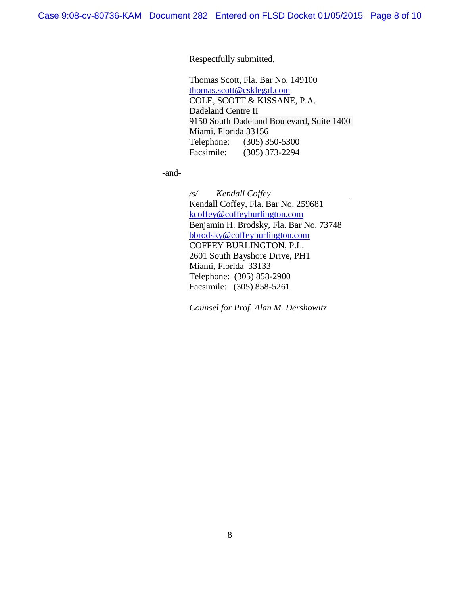Respectfully submitted,

Thomas Scott, Fla. Bar No. 149100 [thomas.scott@csklegal.com](mailto:thomas.scott@csklegal.com) COLE, SCOTT & KISSANE, P.A. Dadeland Centre II 9150 South Dadeland Boulevard, Suite 1400 Miami, Florida 33156 Telephone: (305) 350-5300 Facsimile: (305) 373-2294

-and-

*/s/ Kendall Coffey* Kendall Coffey, Fla. Bar No. 259681 [kcoffey@coffeyburlington.com](mailto:kcoffey@coffeyburlington.com) Benjamin H. Brodsky, Fla. Bar No. 73748 [bbrodsky@coffeyburlington.com](mailto:bbrodsky@coffeyburlington.com) COFFEY BURLINGTON, P.L. 2601 South Bayshore Drive, PH1 Miami, Florida 33133 Telephone: (305) 858-2900 Facsimile: (305) 858-5261

*Counsel for Prof. Alan M. Dershowitz*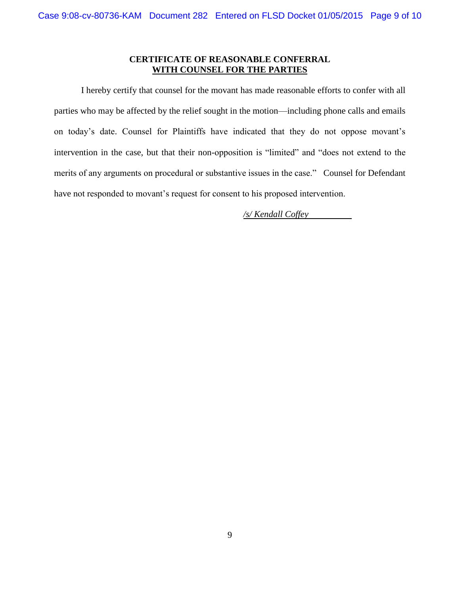## **CERTIFICATE OF REASONABLE CONFERRAL WITH COUNSEL FOR THE PARTIES**

I hereby certify that counsel for the movant has made reasonable efforts to confer with all parties who may be affected by the relief sought in the motion—including phone calls and emails on today's date. Counsel for Plaintiffs have indicated that they do not oppose movant's intervention in the case, but that their non-opposition is "limited" and "does not extend to the merits of any arguments on procedural or substantive issues in the case." Counsel for Defendant have not responded to movant's request for consent to his proposed intervention.

*/s/ Kendall Coffey*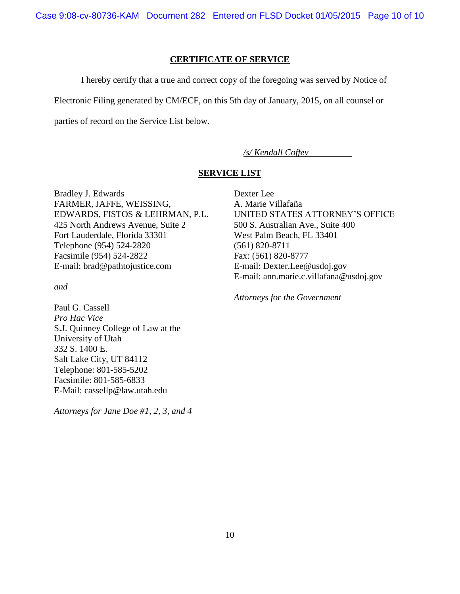Case 9:08-cv-80736-KAM Document 282 Entered on FLSD Docket 01/05/2015 Page 10 of 10

### **CERTIFICATE OF SERVICE**

I hereby certify that a true and correct copy of the foregoing was served by Notice of

Electronic Filing generated by CM/ECF, on this 5th day of January, 2015, on all counsel or

parties of record on the Service List below.

*/s/ Kendall Coffey*

# **SERVICE LIST**

Bradley J. Edwards FARMER, JAFFE, WEISSING, EDWARDS, FISTOS & LEHRMAN, P.L. 425 North Andrews Avenue, Suite 2 Fort Lauderdale, Florida 33301 Telephone (954) 524-2820 Facsimile (954) 524-2822 E-mail: brad@pathtojustice.com

*and* 

Paul G. Cassell *Pro Hac Vice*  S.J. Quinney College of Law at the University of Utah 332 S. 1400 E. Salt Lake City, UT 84112 Telephone: 801-585-5202 Facsimile: 801-585-6833 E-Mail: cassellp@law.utah.edu

*Attorneys for Jane Doe #1, 2, 3, and 4*

Dexter Lee A. Marie Villafaña UNITED STATES ATTORNEY'S OFFICE 500 S. Australian Ave., Suite 400 West Palm Beach, FL 33401 (561) 820-8711 Fax: (561) 820-8777 E-mail: Dexter.Lee@usdoj.gov E-mail: ann.marie.c.villafana@usdoj.gov

*Attorneys for the Government*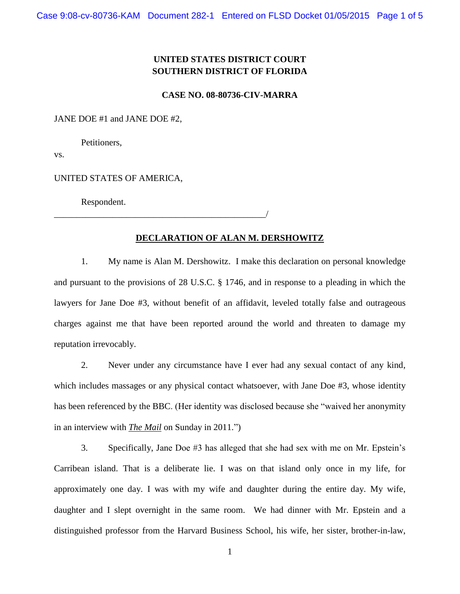# **UNITED STATES DISTRICT COURT SOUTHERN DISTRICT OF FLORIDA**

### **CASE NO. 08-80736-CIV-MARRA**

#### JANE DOE #1 and JANE DOE #2,

Petitioners,

vs.

UNITED STATES OF AMERICA,

\_\_\_\_\_\_\_\_\_\_\_\_\_\_\_\_\_\_\_\_\_\_\_\_\_\_\_\_\_\_\_\_\_\_\_\_\_\_\_\_\_\_\_\_\_\_\_/

Respondent.

### **DECLARATION OF ALAN M. DERSHOWITZ**

1. My name is Alan M. Dershowitz. I make this declaration on personal knowledge and pursuant to the provisions of 28 U.S.C. § 1746, and in response to a pleading in which the lawyers for Jane Doe #3, without benefit of an affidavit, leveled totally false and outrageous charges against me that have been reported around the world and threaten to damage my reputation irrevocably.

2. Never under any circumstance have I ever had any sexual contact of any kind, which includes massages or any physical contact whatsoever, with Jane Doe #3, whose identity has been referenced by the BBC. (Her identity was disclosed because she "waived her anonymity in an interview with *The Mail* on Sunday in 2011.")

3. Specifically, Jane Doe #3 has alleged that she had sex with me on Mr. Epstein's Carribean island. That is a deliberate lie. I was on that island only once in my life, for approximately one day. I was with my wife and daughter during the entire day. My wife, daughter and I slept overnight in the same room. We had dinner with Mr. Epstein and a distinguished professor from the Harvard Business School, his wife, her sister, brother-in-law,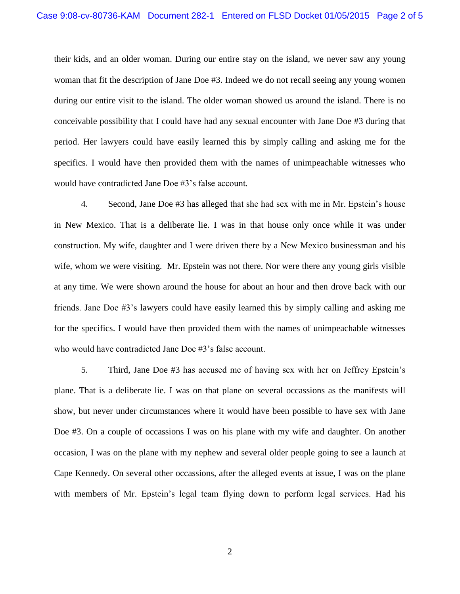their kids, and an older woman. During our entire stay on the island, we never saw any young woman that fit the description of Jane Doe #3. Indeed we do not recall seeing any young women during our entire visit to the island. The older woman showed us around the island. There is no conceivable possibility that I could have had any sexual encounter with Jane Doe #3 during that period. Her lawyers could have easily learned this by simply calling and asking me for the specifics. I would have then provided them with the names of unimpeachable witnesses who would have contradicted Jane Doe #3's false account.

4. Second, Jane Doe #3 has alleged that she had sex with me in Mr. Epstein's house in New Mexico. That is a deliberate lie. I was in that house only once while it was under construction. My wife, daughter and I were driven there by a New Mexico businessman and his wife, whom we were visiting. Mr. Epstein was not there. Nor were there any young girls visible at any time. We were shown around the house for about an hour and then drove back with our friends. Jane Doe #3's lawyers could have easily learned this by simply calling and asking me for the specifics. I would have then provided them with the names of unimpeachable witnesses who would have contradicted Jane Doe #3's false account.

5. Third, Jane Doe #3 has accused me of having sex with her on Jeffrey Epstein's plane. That is a deliberate lie. I was on that plane on several occassions as the manifests will show, but never under circumstances where it would have been possible to have sex with Jane Doe #3. On a couple of occassions I was on his plane with my wife and daughter. On another occasion, I was on the plane with my nephew and several older people going to see a launch at Cape Kennedy. On several other occassions, after the alleged events at issue, I was on the plane with members of Mr. Epstein's legal team flying down to perform legal services. Had his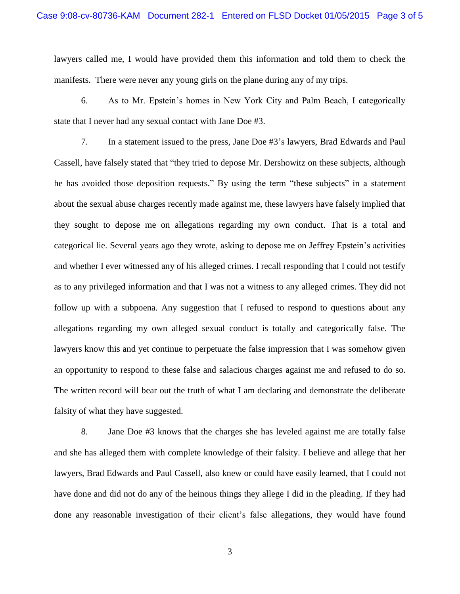lawyers called me, I would have provided them this information and told them to check the manifests. There were never any young girls on the plane during any of my trips.

6. As to Mr. Epstein's homes in New York City and Palm Beach, I categorically state that I never had any sexual contact with Jane Doe #3.

7. In a statement issued to the press, Jane Doe #3's lawyers, Brad Edwards and Paul Cassell, have falsely stated that "they tried to depose Mr. Dershowitz on these subjects, although he has avoided those deposition requests." By using the term "these subjects" in a statement about the sexual abuse charges recently made against me, these lawyers have falsely implied that they sought to depose me on allegations regarding my own conduct. That is a total and categorical lie. Several years ago they wrote, asking to depose me on Jeffrey Epstein's activities and whether I ever witnessed any of his alleged crimes. I recall responding that I could not testify as to any privileged information and that I was not a witness to any alleged crimes. They did not follow up with a subpoena. Any suggestion that I refused to respond to questions about any allegations regarding my own alleged sexual conduct is totally and categorically false. The lawyers know this and yet continue to perpetuate the false impression that I was somehow given an opportunity to respond to these false and salacious charges against me and refused to do so. The written record will bear out the truth of what I am declaring and demonstrate the deliberate falsity of what they have suggested.

8. Jane Doe #3 knows that the charges she has leveled against me are totally false and she has alleged them with complete knowledge of their falsity. I believe and allege that her lawyers, Brad Edwards and Paul Cassell, also knew or could have easily learned, that I could not have done and did not do any of the heinous things they allege I did in the pleading. If they had done any reasonable investigation of their client's false allegations, they would have found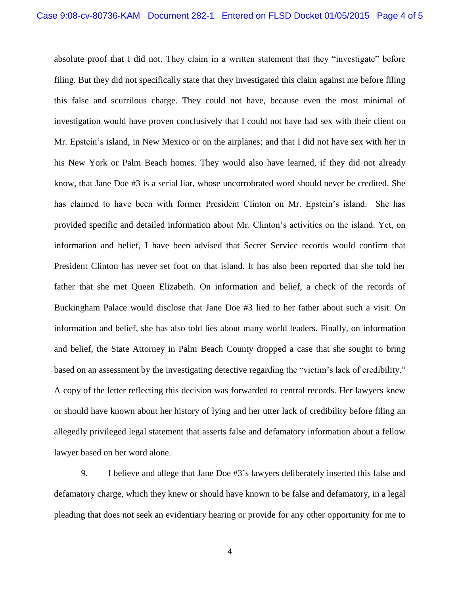absolute proof that I did not. They claim in a written statement that they "investigate" before filing. But they did not specifically state that they investigated this claim against me before filing this false and scurrilous charge. They could not have, because even the most minimal of investigation would have proven conclusively that I could not have had sex with their client on Mr. Epstein's island, in New Mexico or on the airplanes; and that I did not have sex with her in his New York or Palm Beach homes. They would also have learned, if they did not already know, that Jane Doe #3 is a serial liar, whose uncorrobrated word should never be credited. She has claimed to have been with former President Clinton on Mr. Epstein's island. She has provided specific and detailed information about Mr. Clinton's activities on the island. Yet, on information and belief, I have been advised that Secret Service records would confirm that President Clinton has never set foot on that island. It has also been reported that she told her father that she met Queen Elizabeth. On information and belief, a check of the records of Buckingham Palace would disclose that Jane Doe #3 lied to her father about such a visit. On information and belief, she has also told lies about many world leaders. Finally, on information and belief, the State Attorney in Palm Beach County dropped a case that she sought to bring based on an assessment by the investigating detective regarding the "victim's lack of credibility." A copy of the letter reflecting this decision was forwarded to central records. Her lawyers knew or should have known about her history of lying and her utter lack of credibility before filing an allegedly privileged legal statement that asserts false and defamatory information about a fellow lawyer based on her word alone.

9. I believe and allege that Jane Doe #3's lawyers deliberately inserted this false and defamatory charge, which they knew or should have known to be false and defamatory, in a legal pleading that does not seek an evidentiary hearing or provide for any other opportunity for me to

4